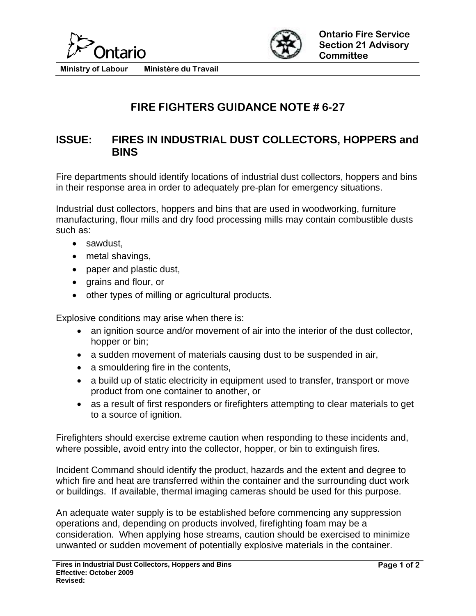



**Ministry of Labour Ministére du Travail** 

## **FIRE FIGHTERS GUIDANCE NOTE # 6-27**

## **ISSUE: FIRES IN INDUSTRIAL DUST COLLECTORS, HOPPERS and BINS**

Fire departments should identify locations of industrial dust collectors, hoppers and bins in their response area in order to adequately pre-plan for emergency situations.

Industrial dust collectors, hoppers and bins that are used in woodworking, furniture manufacturing, flour mills and dry food processing mills may contain combustible dusts such as:

- sawdust,
- metal shavings,
- paper and plastic dust,
- grains and flour, or
- other types of milling or agricultural products.

Explosive conditions may arise when there is:

- an ignition source and/or movement of air into the interior of the dust collector, hopper or bin;
- a sudden movement of materials causing dust to be suspended in air,
- a smouldering fire in the contents,
- a build up of static electricity in equipment used to transfer, transport or move product from one container to another, or
- as a result of first responders or firefighters attempting to clear materials to get to a source of ignition.

Firefighters should exercise extreme caution when responding to these incidents and, where possible, avoid entry into the collector, hopper, or bin to extinguish fires.

Incident Command should identify the product, hazards and the extent and degree to which fire and heat are transferred within the container and the surrounding duct work or buildings. If available, thermal imaging cameras should be used for this purpose.

An adequate water supply is to be established before commencing any suppression operations and, depending on products involved, firefighting foam may be a consideration. When applying hose streams, caution should be exercised to minimize unwanted or sudden movement of potentially explosive materials in the container.